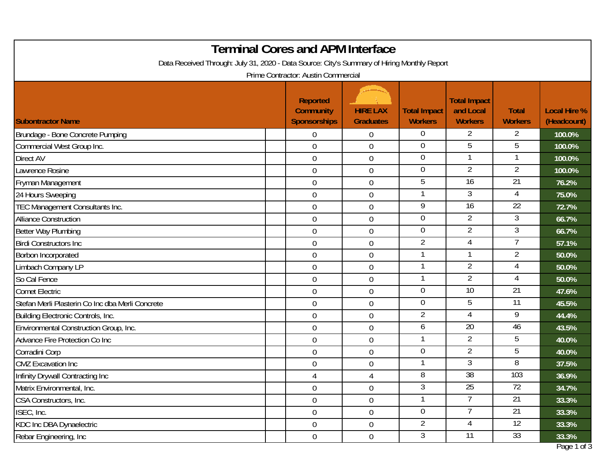| <b>Terminal Cores and APM Interface</b>                                                     |                                                            |                                     |                                       |                                                    |                                |                                    |  |  |
|---------------------------------------------------------------------------------------------|------------------------------------------------------------|-------------------------------------|---------------------------------------|----------------------------------------------------|--------------------------------|------------------------------------|--|--|
| Data Received Through: July 31, 2020 - Data Source: City's Summary of Hiring Monthly Report |                                                            |                                     |                                       |                                                    |                                |                                    |  |  |
| Prime Contractor: Austin Commercial                                                         |                                                            |                                     |                                       |                                                    |                                |                                    |  |  |
| <b>Subontractor Name</b>                                                                    | <b>Reported</b><br><b>Community</b><br><b>Sponsorships</b> | <b>HIRE LAX</b><br><b>Graduates</b> | <b>Total Impact</b><br><b>Workers</b> | <b>Total Impact</b><br>and Local<br><b>Workers</b> | <b>Total</b><br><b>Workers</b> | <b>Local Hire %</b><br>(Headcount) |  |  |
| Brundage - Bone Concrete Pumping                                                            | $\overline{0}$                                             | 0                                   | $\overline{0}$                        | $\overline{2}$                                     | 2                              | 100.0%                             |  |  |
| Commercial West Group Inc.                                                                  | $\overline{0}$                                             | $\mathbf 0$                         | $\overline{0}$                        | 5                                                  | 5                              | 100.0%                             |  |  |
| <b>Direct AV</b>                                                                            | $\overline{0}$                                             | $\boldsymbol{0}$                    | $\overline{0}$                        |                                                    |                                | 100.0%                             |  |  |
| awrence Rosine                                                                              | $\overline{0}$                                             | 0                                   | $\mathbf 0$                           | $\overline{2}$                                     | $\overline{2}$                 | 100.0%                             |  |  |
| Fryman Management                                                                           | $\mathbf 0$                                                | $\mathbf 0$                         | 5                                     | 16                                                 | $\overline{21}$                | 76.2%                              |  |  |
| 24 Hours Sweeping                                                                           | $\overline{0}$                                             | 0                                   | -1                                    | 3                                                  | 4                              | 75.0%                              |  |  |
| <b>TEC Management Consultants Inc.</b>                                                      | $\overline{0}$                                             | $\mathbf 0$                         | 9                                     | $\overline{16}$                                    | $\overline{22}$                | 72.7%                              |  |  |
| <b>Alliance Construction</b>                                                                | $\overline{0}$                                             | $\boldsymbol{0}$                    | $\overline{0}$                        | $\overline{2}$                                     | 3                              | 66.7%                              |  |  |
| Better Way Plumbing                                                                         | $\boldsymbol{0}$                                           | $\boldsymbol{0}$                    | $\overline{0}$                        | $\overline{2}$                                     | $\mathfrak{Z}$                 | 66.7%                              |  |  |
| <b>Birdi Constructors Inc.</b>                                                              | $\overline{0}$                                             | $\mathbf 0$                         | $\overline{2}$                        | 4                                                  | $\overline{7}$                 | 57.1%                              |  |  |
| Borbon Incorporated                                                                         | $\overline{0}$                                             | $\boldsymbol{0}$                    | -1                                    |                                                    | $\overline{2}$                 | 50.0%                              |  |  |
| imbach Company LP                                                                           | $\overline{0}$                                             | 0                                   | $\mathbf{1}$                          | $\overline{2}$                                     | 4                              | 50.0%                              |  |  |
| So Cal Fence                                                                                | $\mathbf 0$                                                | $\mathbf 0$                         | $\mathbf 1$                           | $\overline{2}$                                     | 4                              | 50.0%                              |  |  |
| <b>Comet Electric</b>                                                                       | $\mathbf 0$                                                | 0                                   | $\overline{0}$                        | $\overline{10}$                                    | $\overline{21}$                | 47.6%                              |  |  |
| Stefan Merli Plasterin Co Inc dba Merli Concrete                                            | $\overline{0}$                                             | $\boldsymbol{0}$                    | $\mathbf 0$                           | 5                                                  | $\overline{11}$                | 45.5%                              |  |  |
| Building Electronic Controls, Inc.                                                          | $\overline{0}$                                             | 0                                   | $\overline{2}$                        | 4                                                  | 9                              | 44.4%                              |  |  |
| Environmental Construction Group, Inc.                                                      | $\mathbf 0$                                                | $\mathbf 0$                         | 6                                     | $\overline{20}$                                    | 46                             | 43.5%                              |  |  |
| Advance Fire Protection Co Inc                                                              | $\mathbf 0$                                                | 0                                   | $\mathbf{1}$                          | $\overline{2}$                                     | 5                              | 40.0%                              |  |  |
| Corradini Corp                                                                              | $\boldsymbol{0}$                                           | $\boldsymbol{0}$                    | $\overline{0}$                        | 2                                                  | 5                              | 40.0%                              |  |  |
| <b>CMZ</b> Excavation Inc                                                                   | $\mathbf 0$                                                | 0                                   | $\mathbf{1}$                          | 3                                                  | 8                              | 37.5%                              |  |  |
| Infinity Drywall Contracting Inc                                                            | 4                                                          | 4                                   | 8                                     | 38                                                 | 103                            | 36.9%                              |  |  |
| Matrix Environmental, Inc.                                                                  | $\mathbf 0$                                                | $\boldsymbol{0}$                    | 3                                     | $\overline{25}$                                    | 72                             | 34.7%                              |  |  |
| CSA Constructors, Inc.                                                                      | $\overline{0}$                                             | $\boldsymbol{0}$                    | $\mathbf{1}$                          | $\overline{7}$                                     | 21                             | 33.3%                              |  |  |
| ISEC, Inc.                                                                                  | $\overline{0}$                                             | $\boldsymbol{0}$                    | $\overline{0}$                        | $\overline{7}$                                     | 21                             | 33.3%                              |  |  |
| <b>KDC Inc DBA Dynaelectric</b>                                                             | $\overline{0}$                                             | $\boldsymbol{0}$                    | $\overline{2}$                        | 4                                                  | $\overline{12}$                | 33.3%                              |  |  |
| Rebar Engineering, Inc                                                                      | $\overline{0}$                                             | $\boldsymbol{0}$                    | 3                                     | $\overline{11}$                                    | 33                             | 33.3%                              |  |  |
|                                                                                             |                                                            |                                     |                                       |                                                    |                                | Page 1 of 3                        |  |  |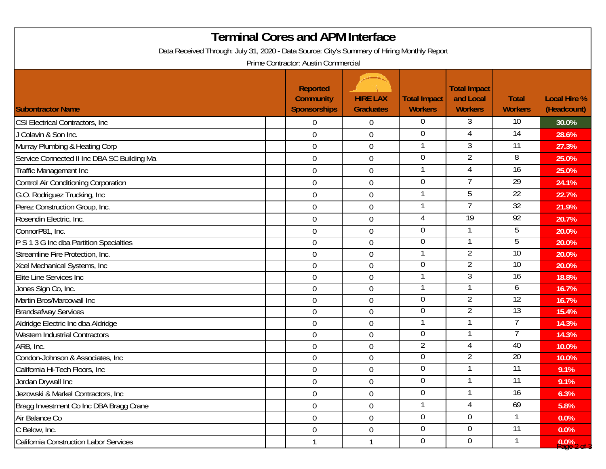| <b>Terminal Cores and APM Interface</b>                                                     |                                                            |                                     |                                       |                                                    |                                |                                    |  |  |
|---------------------------------------------------------------------------------------------|------------------------------------------------------------|-------------------------------------|---------------------------------------|----------------------------------------------------|--------------------------------|------------------------------------|--|--|
| Data Received Through: July 31, 2020 - Data Source: City's Summary of Hiring Monthly Report |                                                            |                                     |                                       |                                                    |                                |                                    |  |  |
| Prime Contractor: Austin Commercial                                                         |                                                            |                                     |                                       |                                                    |                                |                                    |  |  |
| <b>Subontractor Name</b>                                                                    | <b>Reported</b><br><b>Community</b><br><b>Sponsorships</b> | <b>HIRE LAX</b><br><b>Graduates</b> | <b>Total Impact</b><br><b>Workers</b> | <b>Total Impact</b><br>and Local<br><b>Workers</b> | <b>Total</b><br><b>Workers</b> | <b>Local Hire %</b><br>(Headcount) |  |  |
| CSI Electrical Contractors, Inc.                                                            | $\overline{0}$                                             | $\mathbf 0$                         | 0                                     | 3                                                  | 10                             | 30.0%                              |  |  |
| J Colavin & Son Inc.                                                                        | $\mathbf 0$                                                | $\boldsymbol{0}$                    | $\Omega$                              | 4                                                  | $\overline{14}$                | 28.6%                              |  |  |
| Murray Plumbing & Heating Corp                                                              | $\mathbf 0$                                                | $\boldsymbol{0}$                    |                                       | 3                                                  | $\overline{11}$                | 27.3%                              |  |  |
| Service Connected II Inc DBA SC Building Ma                                                 | $\mathbf 0$                                                | $\mathbf 0$                         | $\overline{0}$                        | $\overline{2}$                                     | 8                              | 25.0%                              |  |  |
| Traffic Management Inc                                                                      | $\overline{0}$                                             | $\mathbf 0$                         |                                       | 4                                                  | 16                             | 25.0%                              |  |  |
| Control Air Conditioning Corporation                                                        | $\mathbf 0$                                                | $\boldsymbol{0}$                    | $\overline{0}$                        | $\overline{7}$                                     | $\overline{29}$                | 24.1%                              |  |  |
| G.O. Rodriguez Trucking, Inc                                                                | $\overline{0}$                                             | $\mathbf 0$                         |                                       | 5                                                  | 22                             | 22.7%                              |  |  |
| Perez Construction Group, Inc.                                                              | $\mathbf 0$                                                | $\boldsymbol{0}$                    | 1                                     | $\overline{7}$                                     | 32                             | 21.9%                              |  |  |
| Rosendin Electric, Inc.                                                                     | $\overline{0}$                                             | $\mathbf 0$                         | 4                                     | $\overline{19}$                                    | 92                             | 20.7%                              |  |  |
| ConnorP81, Inc.                                                                             | $\boldsymbol{0}$                                           | $\boldsymbol{0}$                    | $\overline{0}$                        |                                                    | 5                              | 20.0%                              |  |  |
| P S 1 3 G Inc dba Partition Specialties                                                     | $\mathbf 0$                                                | $\mathbf 0$                         | $\overline{0}$                        |                                                    | 5                              | 20.0%                              |  |  |
| Streamline Fire Protection, Inc.                                                            | $\boldsymbol{0}$                                           | $\boldsymbol{0}$                    |                                       | 2                                                  | 10                             | 20.0%                              |  |  |
| Xcel Mechanical Systems, Inc                                                                | $\boldsymbol{0}$                                           | $\boldsymbol{0}$                    | 0                                     | 2                                                  | 10                             | 20.0%                              |  |  |
| Elite Line Services Inc                                                                     | $\overline{0}$                                             | $\boldsymbol{0}$                    |                                       | 3                                                  | 16                             | 18.8%                              |  |  |
| Jones Sign Co, Inc.                                                                         | $\mathbf 0$                                                | $\boldsymbol{0}$                    |                                       |                                                    | 6                              | 16.7%                              |  |  |
| Martin Bros/Marcowall Inc                                                                   | $\overline{0}$                                             | $\boldsymbol{0}$                    | $\Omega$                              | $\overline{2}$                                     | 12                             | 16.7%                              |  |  |
| <b>Brandsafway Services</b>                                                                 | 0                                                          | $\boldsymbol{0}$                    | $\overline{0}$                        | $\overline{2}$                                     | 13                             | 15.4%                              |  |  |
| Aldridge Electric Inc dba Aldridge                                                          | $\overline{0}$                                             | $\boldsymbol{0}$                    |                                       |                                                    |                                | 14.3%                              |  |  |
| <b>Western Industrial Contractors</b>                                                       | $\mathbf 0$                                                | $\boldsymbol{0}$                    | $\Omega$                              |                                                    |                                | 14.3%                              |  |  |
| ARB, Inc.                                                                                   | $\overline{0}$                                             | $\overline{0}$                      | $\overline{2}$                        | 4                                                  | 40                             | 10.0%                              |  |  |
| Condon-Johnson & Associates, Inc                                                            | 0                                                          | $\boldsymbol{0}$                    | 0                                     | $\overline{2}$                                     | 20                             | 10.0%                              |  |  |
| California Hi-Tech Floors, Inc                                                              | $\overline{0}$                                             | $\overline{0}$                      | $\Omega$                              |                                                    | 11                             | 9.1%                               |  |  |
| Jordan Drywall Inc                                                                          | $\overline{0}$                                             | $\mathbf 0$                         | $\overline{0}$                        |                                                    | $\overline{11}$                | 9.1%                               |  |  |
| Jezowski & Markel Contractors, Inc                                                          | $\Omega$                                                   | $\mathbf 0$                         | $\overline{0}$                        |                                                    | 16                             | 6.3%                               |  |  |
| Bragg Investment Co Inc DBA Bragg Crane                                                     | $\overline{0}$                                             | $\boldsymbol{0}$                    |                                       |                                                    | 69                             | 5.8%                               |  |  |
| Air Balance Co                                                                              | $\overline{0}$                                             | $\mathbf 0$                         | $\Omega$                              | $\overline{0}$                                     |                                | 0.0%                               |  |  |
| C Below, Inc.                                                                               | $\overline{0}$                                             | $\mathbf 0$                         | $\overline{0}$                        | $\overline{0}$                                     | 11                             | 0.0%                               |  |  |
| California Construction Labor Services                                                      |                                                            |                                     | 0                                     | 0                                                  |                                | $9.0\%$ 2 of                       |  |  |